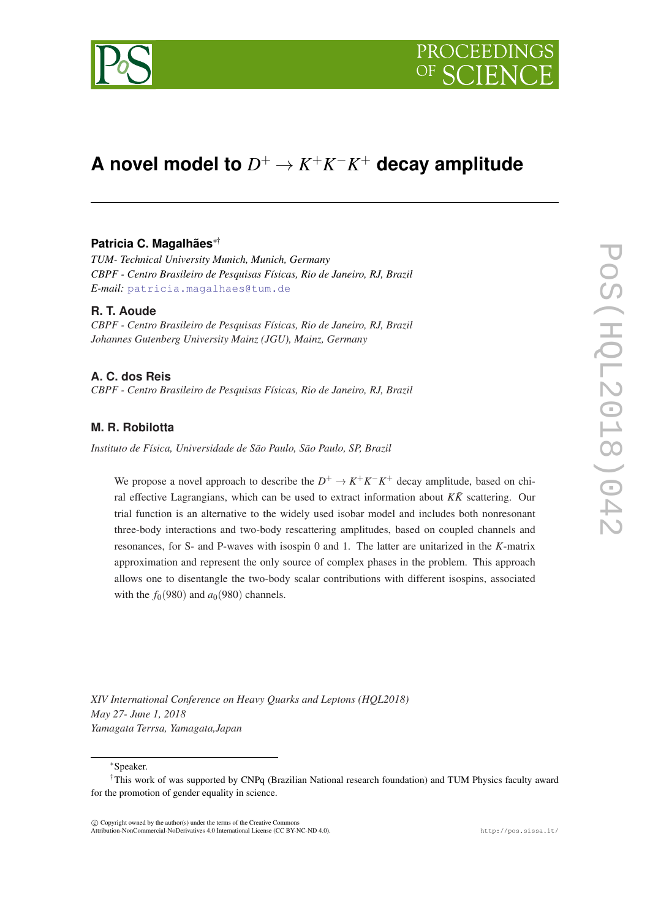

# **A** novel model to  $D^+ \to K^+ K^- K^+$  decay amplitude

## **Patricia C. Magalhães**∗†

*TUM- Technical University Munich, Munich, Germany CBPF - Centro Brasileiro de Pesquisas Físicas, Rio de Janeiro, RJ, Brazil E-mail:* [patricia.magalhaes@tum.de](mailto:patricia.magalhaes@tum.de)

## **R. T. Aoude**

*CBPF - Centro Brasileiro de Pesquisas Físicas, Rio de Janeiro, RJ, Brazil Johannes Gutenberg University Mainz (JGU), Mainz, Germany*

# **A. C. dos Reis**

*CBPF - Centro Brasileiro de Pesquisas Físicas, Rio de Janeiro, RJ, Brazil*

# **M. R. Robilotta**

*Instituto de Física, Universidade de São Paulo, São Paulo, SP, Brazil*

We propose a novel approach to describe the  $D^+ \to K^+K^-K^+$  decay amplitude, based on chiral effective Lagrangians, which can be used to extract information about  $K\bar{K}$  scattering. Our trial function is an alternative to the widely used isobar model and includes both nonresonant three-body interactions and two-body rescattering amplitudes, based on coupled channels and resonances, for S- and P-waves with isospin 0 and 1. The latter are unitarized in the *K*-matrix approximation and represent the only source of complex phases in the problem. This approach allows one to disentangle the two-body scalar contributions with different isospins, associated with the  $f_0(980)$  and  $a_0(980)$  channels.

*XIV International Conference on Heavy Quarks and Leptons (HQL2018) May 27- June 1, 2018 Yamagata Terrsa, Yamagata,Japan*

<sup>∗</sup>Speaker.

 $(C)$  Copyright owned by the author(s) under the terms of the Creative Commons Attribution-NonCommercial-NoDerivatives 4.0 International License (CC BY-NC-ND 4.0). http://pos.sissa.it/

<sup>†</sup>This work of was supported by CNPq (Brazilian National research foundation) and TUM Physics faculty award for the promotion of gender equality in science.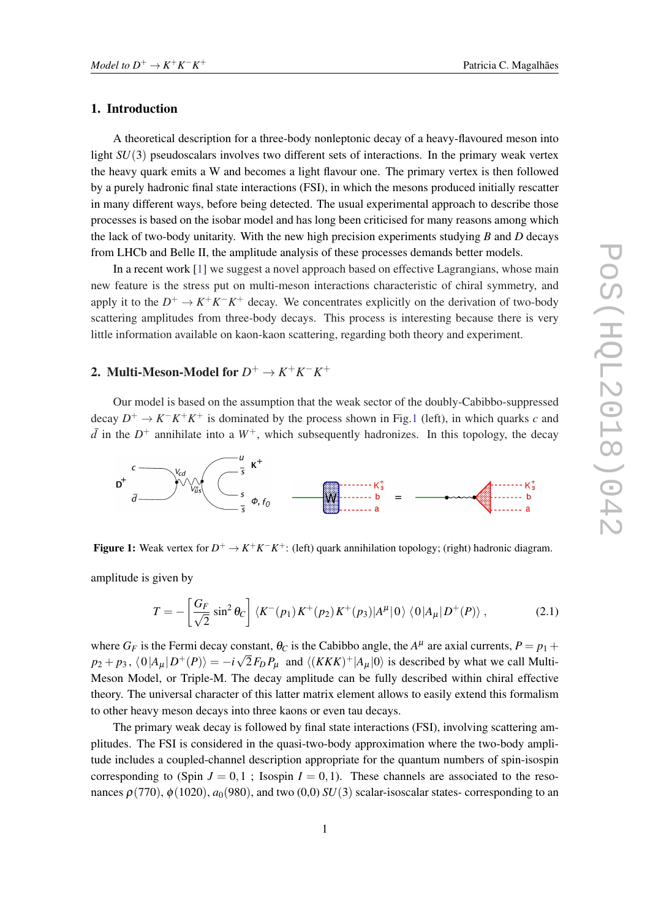#### <span id="page-1-0"></span>1. Introduction

A theoretical description for a three-body nonleptonic decay of a heavy-flavoured meson into light *SU*(3) pseudoscalars involves two different sets of interactions. In the primary weak vertex the heavy quark emits a W and becomes a light flavour one. The primary vertex is then followed by a purely hadronic final state interactions (FSI), in which the mesons produced initially rescatter in many different ways, before being detected. The usual experimental approach to describe those processes is based on the isobar model and has long been criticised for many reasons among which the lack of two-body unitarity. With the new high precision experiments studying *B* and *D* decays from LHCb and Belle II, the amplitude analysis of these processes demands better models.

In a recent work [[1](#page-4-0)] we suggest a novel approach based on effective Lagrangians, whose main new feature is the stress put on multi-meson interactions characteristic of chiral symmetry, and apply it to the  $D^+ \to K^+K^-K^+$  decay. We concentrates explicitly on the derivation of two-body scattering amplitudes from three-body decays. This process is interesting because there is very little information available on kaon-kaon scattering, regarding both theory and experiment.

# 2. Multi-Meson-Model for  $D^+ \to K^+ K^- K^+$

Our model is based on the assumption that the weak sector of the doubly-Cabibbo-suppressed decay  $D^+ \to K^- K^+ K^+$  is dominated by the process shown in Fig.1 (left), in which quarks *c* and  $\bar{d}$  in the  $D^+$  annihilate into a  $W^+$ , which subsequently hadronizes. In this topology, the decay



**Figure 1:** Weak vertex for  $D^+ \to K^+K^-K^+$ : (left) quark annihilation topology; (right) hadronic diagram.

amplitude is given by

$$
T = -\left[\frac{G_F}{\sqrt{2}}\sin^2\theta_C\right] \langle K^-(p_1)K^+(p_2)K^+(p_3)|A^\mu|0\rangle \langle 0|A_\mu|D^+(P)\rangle ,\qquad (2.1)
$$

where  $G_F$  is the Fermi decay constant,  $\theta_C$  is the Cabibbo angle, the  $A^{\mu}$  are axial currents,  $P = p_1 + p_2$  $p_2 + p_3$ ,  $\langle 0|A_\mu|D^+(P)\rangle = -i\sqrt{2}F_D P_\mu$  and  $\langle (KKK)^+|A_\mu|0\rangle$  is described by what we call Multi-Meson Model, or Triple-M. The decay amplitude can be fully described within chiral effective theory. The universal character of this latter matrix element allows to easily extend this formalism to other heavy meson decays into three kaons or even tau decays.

The primary weak decay is followed by final state interactions (FSI), involving scattering amplitudes. The FSI is considered in the quasi-two-body approximation where the two-body amplitude includes a coupled-channel description appropriate for the quantum numbers of spin-isospin corresponding to (Spin  $J = 0, 1$ ; Isospin  $I = 0, 1$ ). These channels are associated to the resonances  $\rho(770)$ ,  $\phi(1020)$ ,  $a_0(980)$ , and two (0,0) *SU*(3) scalar-isoscalar states- corresponding to an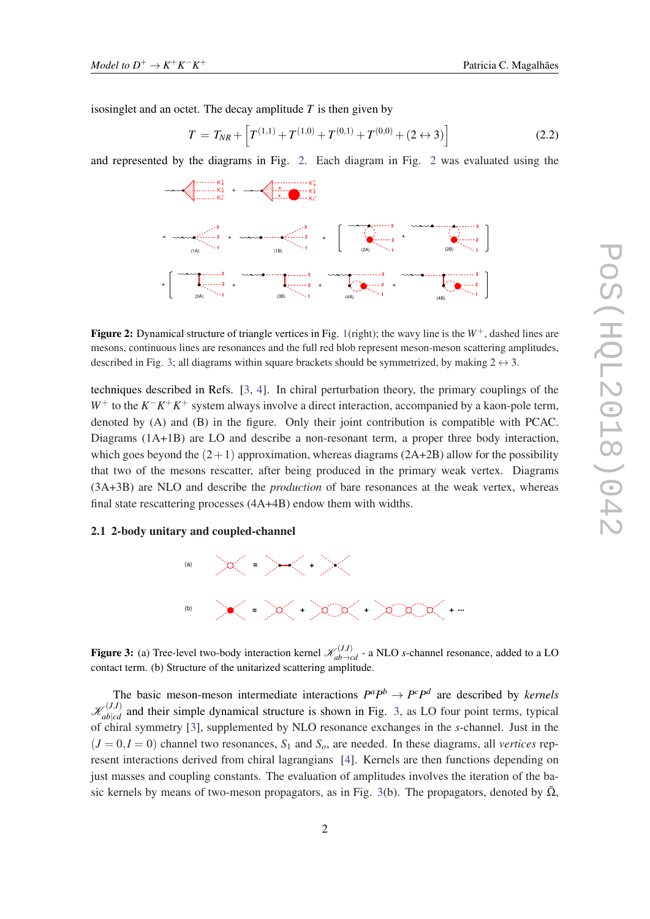isosinglet and an octet. The decay amplitude *T* is then given by

$$
T = T_{NR} + \left[ T^{(1,1)} + T^{(1,0)} + T^{(0,1)} + T^{(0,0)} + (2 \leftrightarrow 3) \right]
$$
 (2.2)

and represented by the diagrams in Fig. 2. Each diagram in Fig. 2 was evaluated using the



**Figure 2:** Dynamical structure of triangle vertices in Fig. [1\(](#page-1-0)right); the wavy line is the  $W^+$ , dashed lines are mesons, continuous lines are resonances and the full red blob represent meson-meson scattering amplitudes, described in Fig. 3; all diagrams within square brackets should be symmetrized, by making  $2 \leftrightarrow 3$ .

techniques described in Refs. [\[3,](#page-4-0) [4\]](#page-5-0). In chiral perturbation theory, the primary couplings of the *W*<sup>+</sup> to the *K*<sup>−</sup>*K*<sup>+</sup>*K*<sup>+</sup> system always involve a direct interaction, accompanied by a kaon-pole term, denoted by (A) and (B) in the figure. Only their joint contribution is compatible with PCAC. Diagrams (1A+1B) are LO and describe a non-resonant term, a proper three body interaction, which goes beyond the  $(2+1)$  approximation, whereas diagrams  $(2A+2B)$  allow for the possibility that two of the mesons rescatter, after being produced in the primary weak vertex. Diagrams (3A+3B) are NLO and describe the *production* of bare resonances at the weak vertex, whereas final state rescattering processes (4A+4B) endow them with widths.

### 2.1 2-body unitary and coupled-channel



Figure 3: (a) Tree-level two-body interaction kernel  $\mathcal{K}_{ab\to cd}^{(J,I)}$  - a NLO *s*-channel resonance, added to a LO contact term. (b) Structure of the unitarized scattering amplitude.

The basic meson-meson intermediate interactions  $P^a P^b \rightarrow P^c P^d$  are described by *kernels*  $\mathcal{K}_{ab|cd}^{(J,I)}$  and their simple dynamical structure is shown in Fig. 3, as LO four point terms, typical of chiral symmetry [\[3\]](#page-4-0), supplemented by NLO resonance exchanges in the *s*-channel. Just in the  $(J = 0, I = 0)$  channel two resonances,  $S_1$  and  $S_0$ , are needed. In these diagrams, all *vertices* represent interactions derived from chiral lagrangians [[4](#page-5-0)]. Kernels are then functions depending on just masses and coupling constants. The evaluation of amplitudes involves the iteration of the basic kernels by means of two-meson propagators, as in Fig. 3(b). The propagators, denoted by  $\overline{\Omega}$ ,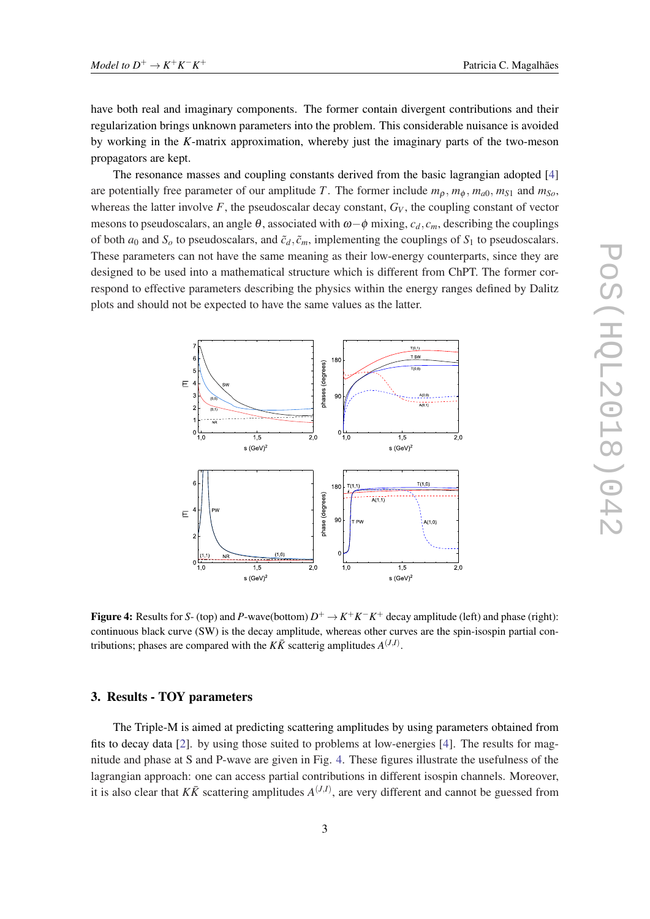have both real and imaginary components. The former contain divergent contributions and their regularization brings unknown parameters into the problem. This considerable nuisance is avoided by working in the *K*-matrix approximation, whereby just the imaginary parts of the two-meson propagators are kept.

The resonance masses and coupling constants derived from the basic lagrangian adopted [[4](#page-5-0)] are potentially free parameter of our amplitude *T*. The former include  $m_0$ ,  $m_{\phi}$ ,  $m_{a0}$ ,  $m_{S1}$  and  $m_{S0}$ , whereas the latter involve  $F$ , the pseudoscalar decay constant,  $G_V$ , the coupling constant of vector mesons to pseudoscalars, an angle  $\theta$ , associated with  $\omega-\phi$  mixing,  $c_d$ ,  $c_m$ , describing the couplings of both  $a_0$  and  $S$ <sup>*o*</sup> to pseudoscalars, and  $\tilde{c}_d$ ,  $\tilde{c}_m$ , implementing the couplings of  $S_1$  to pseudoscalars. These parameters can not have the same meaning as their low-energy counterparts, since they are designed to be used into a mathematical structure which is different from ChPT. The former correspond to effective parameters describing the physics within the energy ranges defined by Dalitz plots and should not be expected to have the same values as the latter.



Figure 4: Results for *S*- (top) and *P*-wave(bottom)  $D^+ \to K^+K^-K^+$  decay amplitude (left) and phase (right): continuous black curve (SW) is the decay amplitude, whereas other curves are the spin-isospin partial contributions; phases are compared with the  $K\bar{K}$  scatterig amplitudes  $A^{(J,I)}$ .

## 3. Results - TOY parameters

The Triple-M is aimed at predicting scattering amplitudes by using parameters obtained from fits to decay data [[2](#page-4-0)]. by using those suited to problems at low-energies [[4](#page-5-0)]. The results for magnitude and phase at S and P-wave are given in Fig. 4. These figures illustrate the usefulness of the lagrangian approach: one can access partial contributions in different isospin channels. Moreover, it is also clear that  $K\bar{K}$  scattering amplitudes  $A^{(J,I)}$ , are very different and cannot be guessed from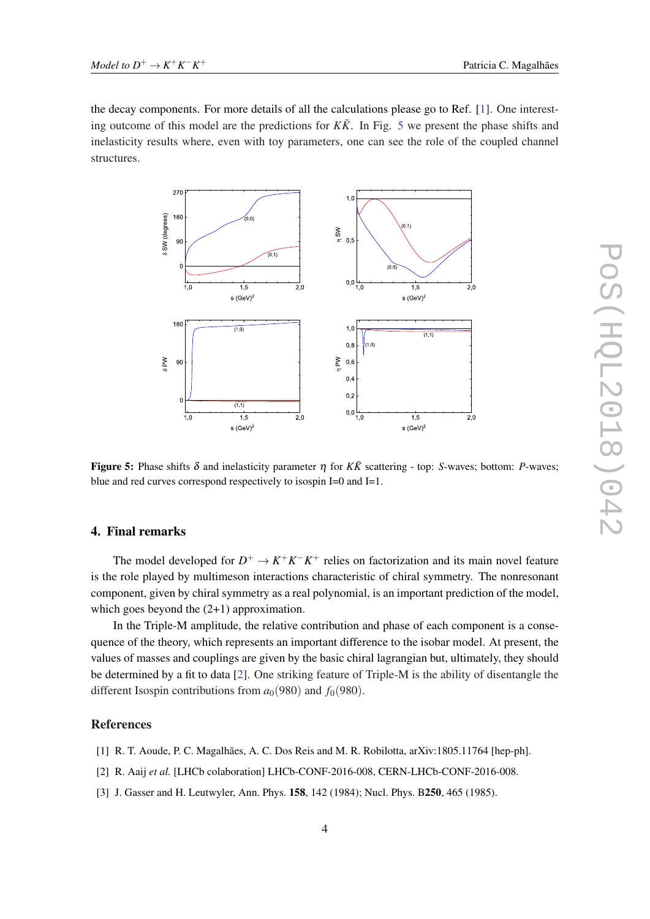<span id="page-4-0"></span>the decay components. For more details of all the calculations please go to Ref. [1]. One interesting outcome of this model are the predictions for  $K\bar{K}$ . In Fig. 5 we present the phase shifts and inelasticity results where, even with toy parameters, one can see the role of the coupled channel structures.



**Figure 5:** Phase shifts δ and inelasticity parameter  $η$  for  $K\bar{K}$  scattering - top: *S*-waves; bottom: *P*-waves; blue and red curves correspond respectively to isospin I=0 and I=1.

## 4. Final remarks

The model developed for  $D^+ \to K^+K^-K^+$  relies on factorization and its main novel feature is the role played by multimeson interactions characteristic of chiral symmetry. The nonresonant component, given by chiral symmetry as a real polynomial, is an important prediction of the model, which goes beyond the  $(2+1)$  approximation.

In the Triple-M amplitude, the relative contribution and phase of each component is a consequence of the theory, which represents an important difference to the isobar model. At present, the values of masses and couplings are given by the basic chiral lagrangian but, ultimately, they should be determined by a fit to data [2]. One striking feature of Triple-M is the ability of disentangle the different Isospin contributions from  $a_0(980)$  and  $f_0(980)$ .

## References

- [1] R. T. Aoude, P. C. Magalhães, A. C. Dos Reis and M. R. Robilotta, arXiv:1805.11764 [hep-ph].
- [2] R. Aaij *et al.* [LHCb colaboration] LHCb-CONF-2016-008, CERN-LHCb-CONF-2016-008.
- [3] J. Gasser and H. Leutwyler, Ann. Phys. 158, 142 (1984); Nucl. Phys. B250, 465 (1985).